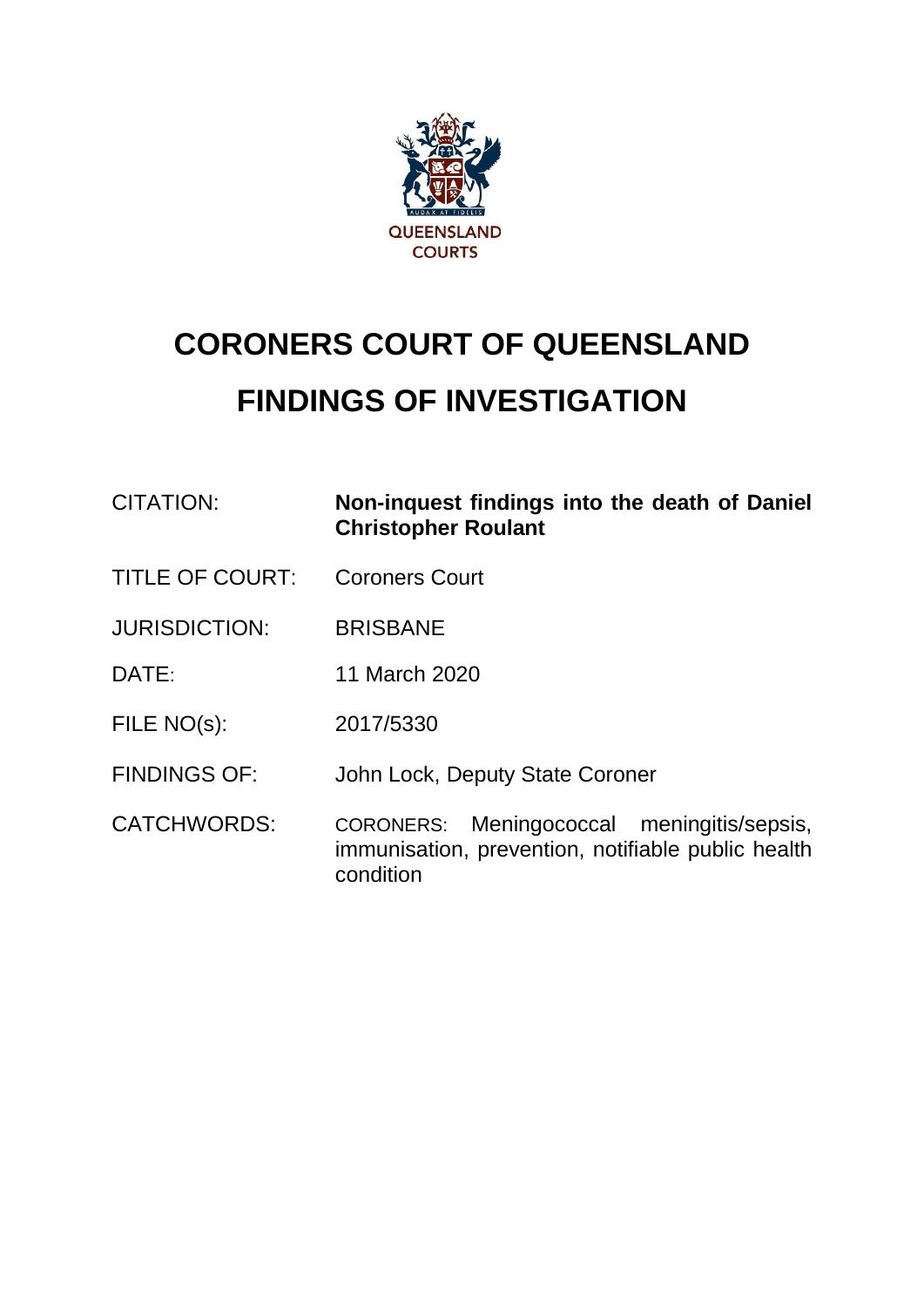

# **CORONERS COURT OF QUEENSLAND FINDINGS OF INVESTIGATION**

| CITATION:              | Non-inquest findings into the death of Daniel<br><b>Christopher Roulant</b>                      |
|------------------------|--------------------------------------------------------------------------------------------------|
| <b>TITLE OF COURT:</b> | <b>Coroners Court</b>                                                                            |
| <b>JURISDICTION:</b>   | <b>BRISBANE</b>                                                                                  |
| DATE:                  | 11 March 2020                                                                                    |
| FILE NO(s):            | 2017/5330                                                                                        |
| <b>FINDINGS OF:</b>    | John Lock, Deputy State Coroner                                                                  |
| <b>CATCHWORDS:</b>     | CORONERS: Meningococcal meningitis/sepsis,<br>immunisation, prevention, notifiable public health |

condition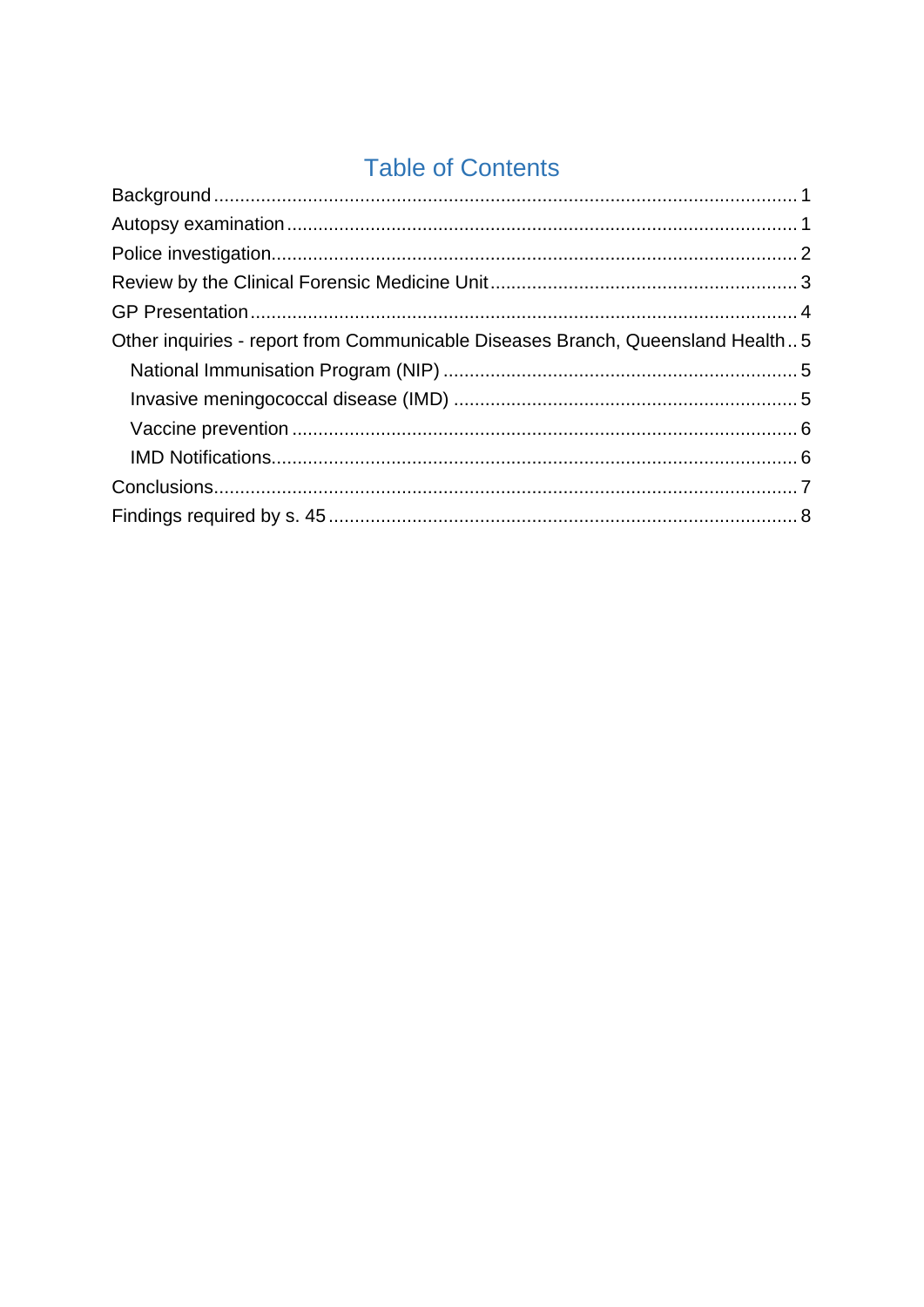# **Table of Contents**

| Other inquiries - report from Communicable Diseases Branch, Queensland Health5 |  |
|--------------------------------------------------------------------------------|--|
|                                                                                |  |
|                                                                                |  |
|                                                                                |  |
|                                                                                |  |
|                                                                                |  |
|                                                                                |  |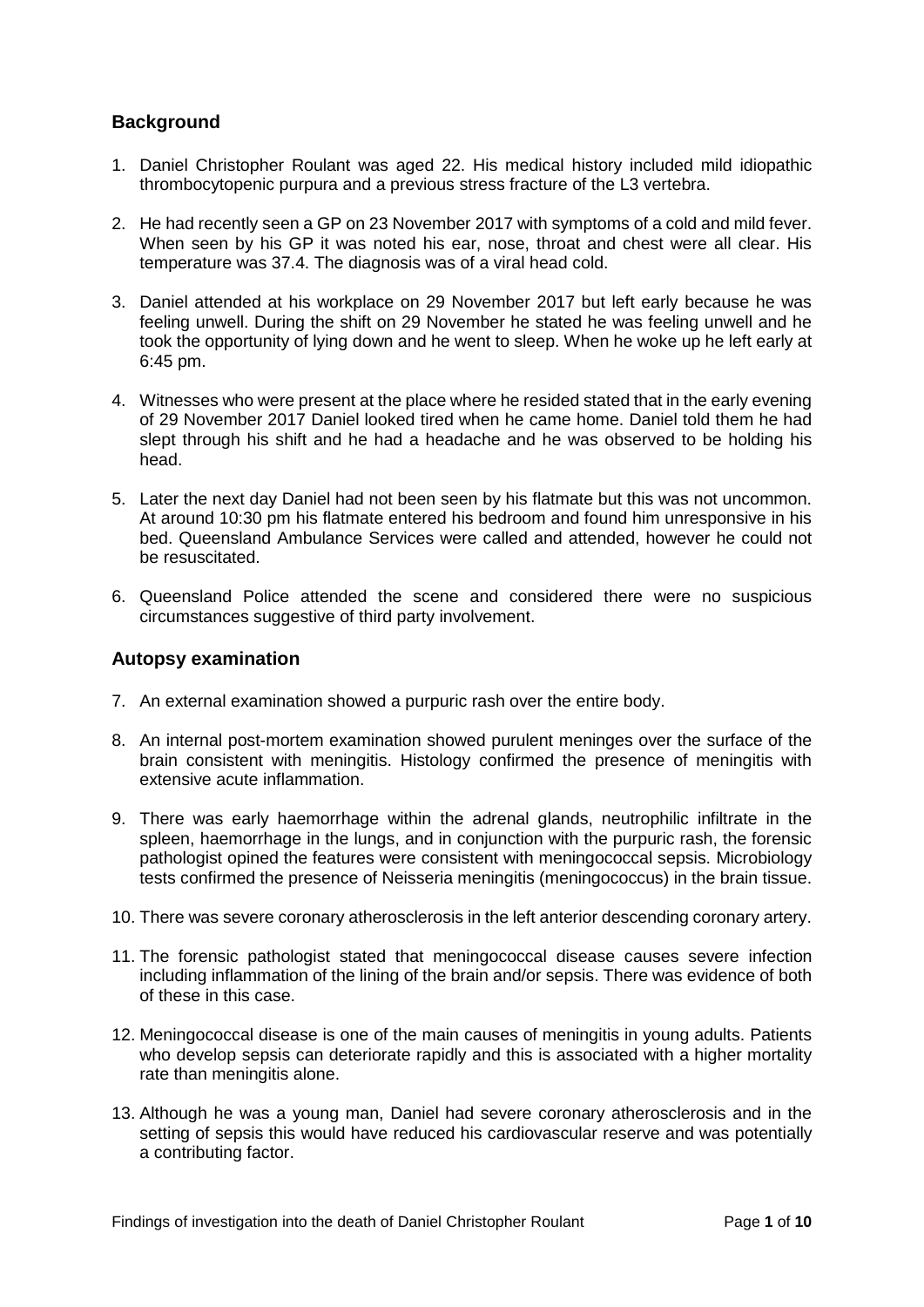# <span id="page-2-0"></span>**Background**

- 1. Daniel Christopher Roulant was aged 22. His medical history included mild idiopathic thrombocytopenic purpura and a previous stress fracture of the L3 vertebra.
- 2. He had recently seen a GP on 23 November 2017 with symptoms of a cold and mild fever. When seen by his GP it was noted his ear, nose, throat and chest were all clear. His temperature was 37.4. The diagnosis was of a viral head cold.
- 3. Daniel attended at his workplace on 29 November 2017 but left early because he was feeling unwell. During the shift on 29 November he stated he was feeling unwell and he took the opportunity of lying down and he went to sleep. When he woke up he left early at 6:45 pm.
- 4. Witnesses who were present at the place where he resided stated that in the early evening of 29 November 2017 Daniel looked tired when he came home. Daniel told them he had slept through his shift and he had a headache and he was observed to be holding his head.
- 5. Later the next day Daniel had not been seen by his flatmate but this was not uncommon. At around 10:30 pm his flatmate entered his bedroom and found him unresponsive in his bed. Queensland Ambulance Services were called and attended, however he could not be resuscitated.
- 6. Queensland Police attended the scene and considered there were no suspicious circumstances suggestive of third party involvement.

#### <span id="page-2-1"></span>**Autopsy examination**

- 7. An external examination showed a purpuric rash over the entire body.
- 8. An internal post-mortem examination showed purulent meninges over the surface of the brain consistent with meningitis. Histology confirmed the presence of meningitis with extensive acute inflammation.
- 9. There was early haemorrhage within the adrenal glands, neutrophilic infiltrate in the spleen, haemorrhage in the lungs, and in conjunction with the purpuric rash, the forensic pathologist opined the features were consistent with meningococcal sepsis. Microbiology tests confirmed the presence of Neisseria meningitis (meningococcus) in the brain tissue.
- 10. There was severe coronary atherosclerosis in the left anterior descending coronary artery.
- 11. The forensic pathologist stated that meningococcal disease causes severe infection including inflammation of the lining of the brain and/or sepsis. There was evidence of both of these in this case.
- 12. Meningococcal disease is one of the main causes of meningitis in young adults. Patients who develop sepsis can deteriorate rapidly and this is associated with a higher mortality rate than meningitis alone.
- 13. Although he was a young man, Daniel had severe coronary atherosclerosis and in the setting of sepsis this would have reduced his cardiovascular reserve and was potentially a contributing factor.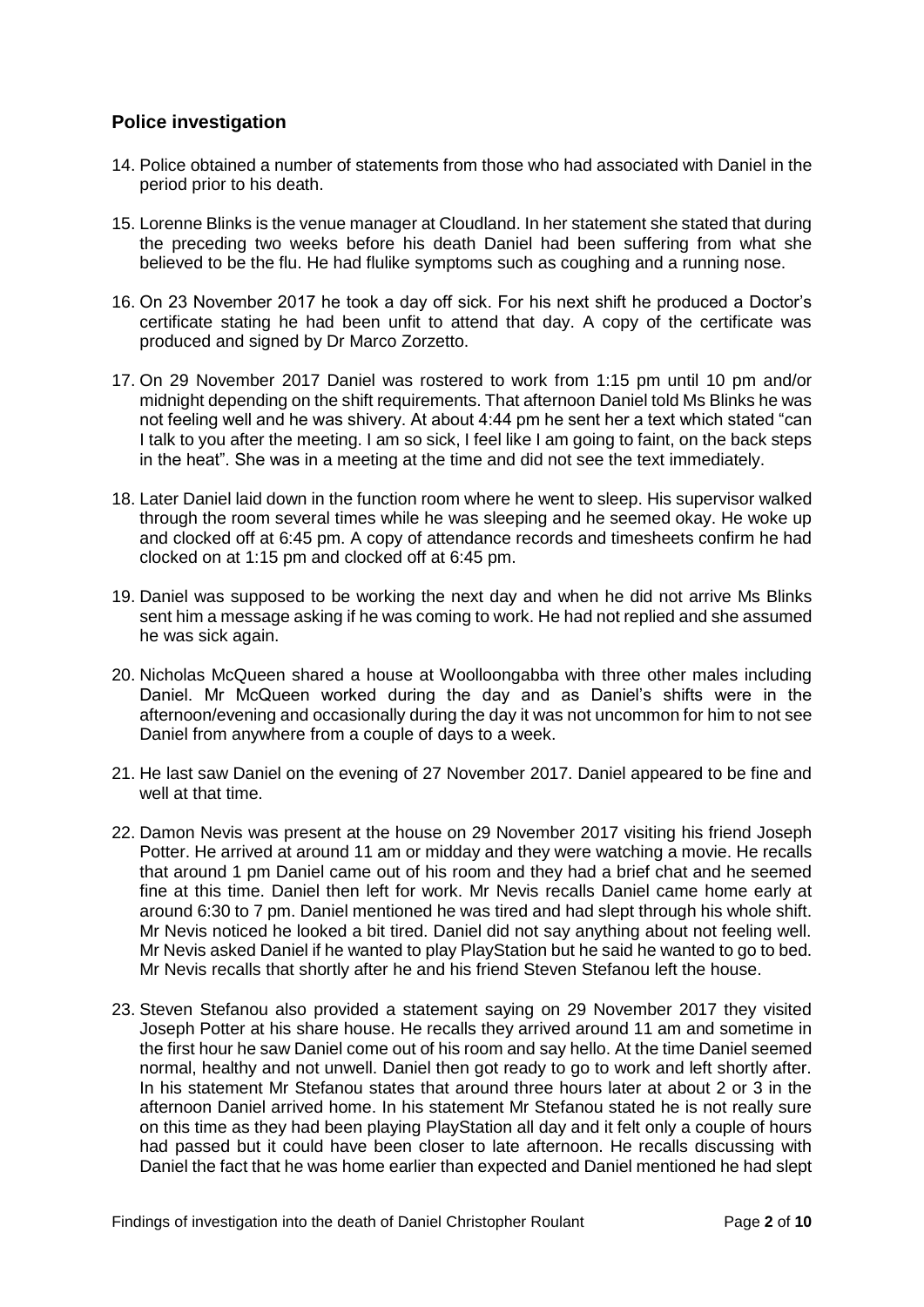# <span id="page-3-0"></span>**Police investigation**

- 14. Police obtained a number of statements from those who had associated with Daniel in the period prior to his death.
- 15. Lorenne Blinks is the venue manager at Cloudland. In her statement she stated that during the preceding two weeks before his death Daniel had been suffering from what she believed to be the flu. He had flulike symptoms such as coughing and a running nose.
- 16. On 23 November 2017 he took a day off sick. For his next shift he produced a Doctor's certificate stating he had been unfit to attend that day. A copy of the certificate was produced and signed by Dr Marco Zorzetto.
- 17. On 29 November 2017 Daniel was rostered to work from 1:15 pm until 10 pm and/or midnight depending on the shift requirements. That afternoon Daniel told Ms Blinks he was not feeling well and he was shivery. At about 4:44 pm he sent her a text which stated "can I talk to you after the meeting. I am so sick, I feel like I am going to faint, on the back steps in the heat". She was in a meeting at the time and did not see the text immediately.
- 18. Later Daniel laid down in the function room where he went to sleep. His supervisor walked through the room several times while he was sleeping and he seemed okay. He woke up and clocked off at 6:45 pm. A copy of attendance records and timesheets confirm he had clocked on at 1:15 pm and clocked off at 6:45 pm.
- 19. Daniel was supposed to be working the next day and when he did not arrive Ms Blinks sent him a message asking if he was coming to work. He had not replied and she assumed he was sick again.
- 20. Nicholas McQueen shared a house at Woolloongabba with three other males including Daniel. Mr McQueen worked during the day and as Daniel's shifts were in the afternoon/evening and occasionally during the day it was not uncommon for him to not see Daniel from anywhere from a couple of days to a week.
- 21. He last saw Daniel on the evening of 27 November 2017. Daniel appeared to be fine and well at that time.
- 22. Damon Nevis was present at the house on 29 November 2017 visiting his friend Joseph Potter. He arrived at around 11 am or midday and they were watching a movie. He recalls that around 1 pm Daniel came out of his room and they had a brief chat and he seemed fine at this time. Daniel then left for work. Mr Nevis recalls Daniel came home early at around 6:30 to 7 pm. Daniel mentioned he was tired and had slept through his whole shift. Mr Nevis noticed he looked a bit tired. Daniel did not say anything about not feeling well. Mr Nevis asked Daniel if he wanted to play PlayStation but he said he wanted to go to bed. Mr Nevis recalls that shortly after he and his friend Steven Stefanou left the house.
- 23. Steven Stefanou also provided a statement saying on 29 November 2017 they visited Joseph Potter at his share house. He recalls they arrived around 11 am and sometime in the first hour he saw Daniel come out of his room and say hello. At the time Daniel seemed normal, healthy and not unwell. Daniel then got ready to go to work and left shortly after. In his statement Mr Stefanou states that around three hours later at about 2 or 3 in the afternoon Daniel arrived home. In his statement Mr Stefanou stated he is not really sure on this time as they had been playing PlayStation all day and it felt only a couple of hours had passed but it could have been closer to late afternoon. He recalls discussing with Daniel the fact that he was home earlier than expected and Daniel mentioned he had slept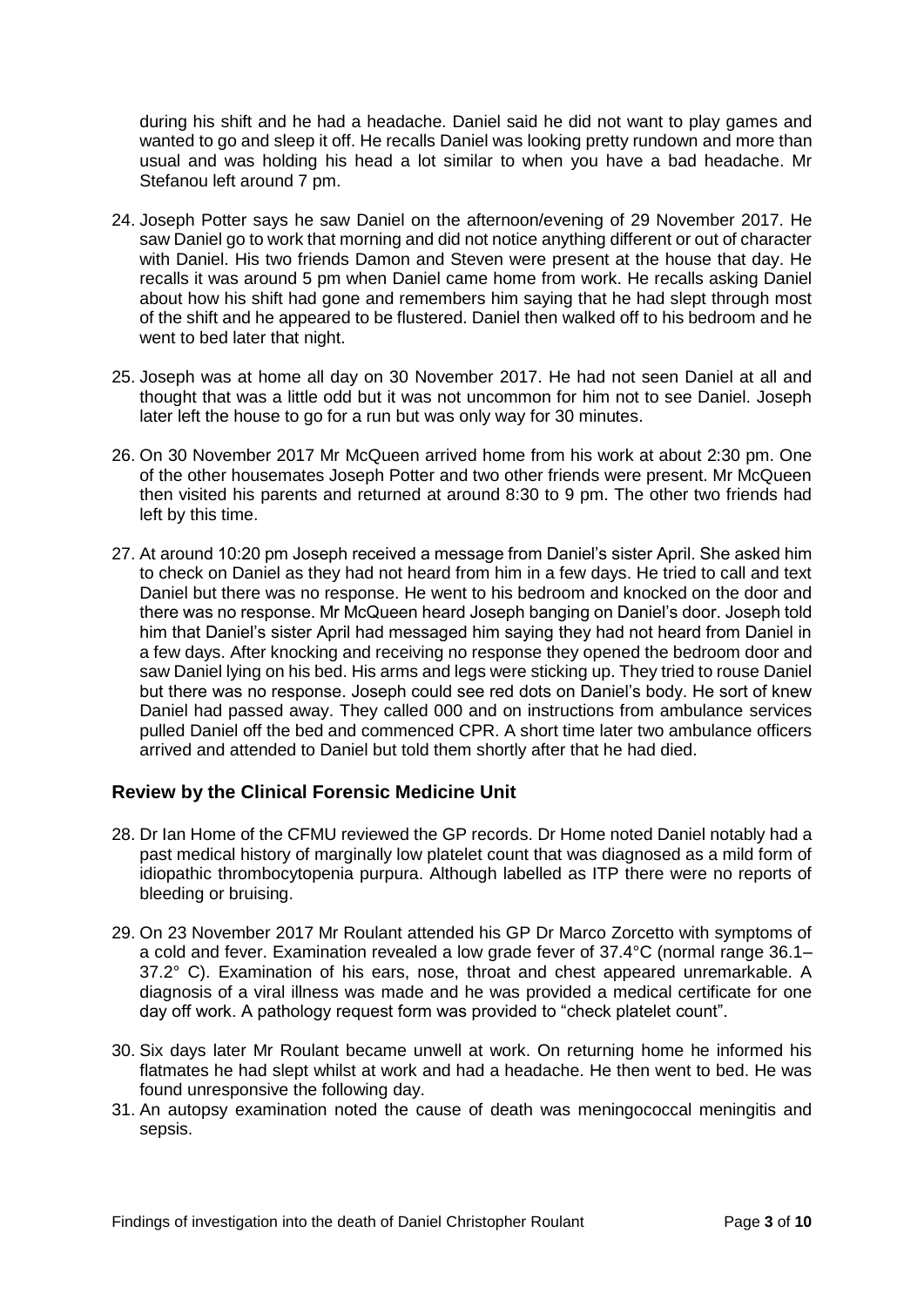during his shift and he had a headache. Daniel said he did not want to play games and wanted to go and sleep it off. He recalls Daniel was looking pretty rundown and more than usual and was holding his head a lot similar to when you have a bad headache. Mr Stefanou left around 7 pm.

- 24. Joseph Potter says he saw Daniel on the afternoon/evening of 29 November 2017. He saw Daniel go to work that morning and did not notice anything different or out of character with Daniel. His two friends Damon and Steven were present at the house that day. He recalls it was around 5 pm when Daniel came home from work. He recalls asking Daniel about how his shift had gone and remembers him saying that he had slept through most of the shift and he appeared to be flustered. Daniel then walked off to his bedroom and he went to bed later that night.
- 25. Joseph was at home all day on 30 November 2017. He had not seen Daniel at all and thought that was a little odd but it was not uncommon for him not to see Daniel. Joseph later left the house to go for a run but was only way for 30 minutes.
- 26. On 30 November 2017 Mr McQueen arrived home from his work at about 2:30 pm. One of the other housemates Joseph Potter and two other friends were present. Mr McQueen then visited his parents and returned at around 8:30 to 9 pm. The other two friends had left by this time.
- 27. At around 10:20 pm Joseph received a message from Daniel's sister April. She asked him to check on Daniel as they had not heard from him in a few days. He tried to call and text Daniel but there was no response. He went to his bedroom and knocked on the door and there was no response. Mr McQueen heard Joseph banging on Daniel's door. Joseph told him that Daniel's sister April had messaged him saying they had not heard from Daniel in a few days. After knocking and receiving no response they opened the bedroom door and saw Daniel lying on his bed. His arms and legs were sticking up. They tried to rouse Daniel but there was no response. Joseph could see red dots on Daniel's body. He sort of knew Daniel had passed away. They called 000 and on instructions from ambulance services pulled Daniel off the bed and commenced CPR. A short time later two ambulance officers arrived and attended to Daniel but told them shortly after that he had died.

## <span id="page-4-0"></span>**Review by the Clinical Forensic Medicine Unit**

- 28. Dr Ian Home of the CFMU reviewed the GP records. Dr Home noted Daniel notably had a past medical history of marginally low platelet count that was diagnosed as a mild form of idiopathic thrombocytopenia purpura. Although labelled as ITP there were no reports of bleeding or bruising.
- 29. On 23 November 2017 Mr Roulant attended his GP Dr Marco Zorcetto with symptoms of a cold and fever. Examination revealed a low grade fever of 37.4°C (normal range 36.1– 37.2° C). Examination of his ears, nose, throat and chest appeared unremarkable. A diagnosis of a viral illness was made and he was provided a medical certificate for one day off work. A pathology request form was provided to "check platelet count".
- 30. Six days later Mr Roulant became unwell at work. On returning home he informed his flatmates he had slept whilst at work and had a headache. He then went to bed. He was found unresponsive the following day.
- 31. An autopsy examination noted the cause of death was meningococcal meningitis and sepsis.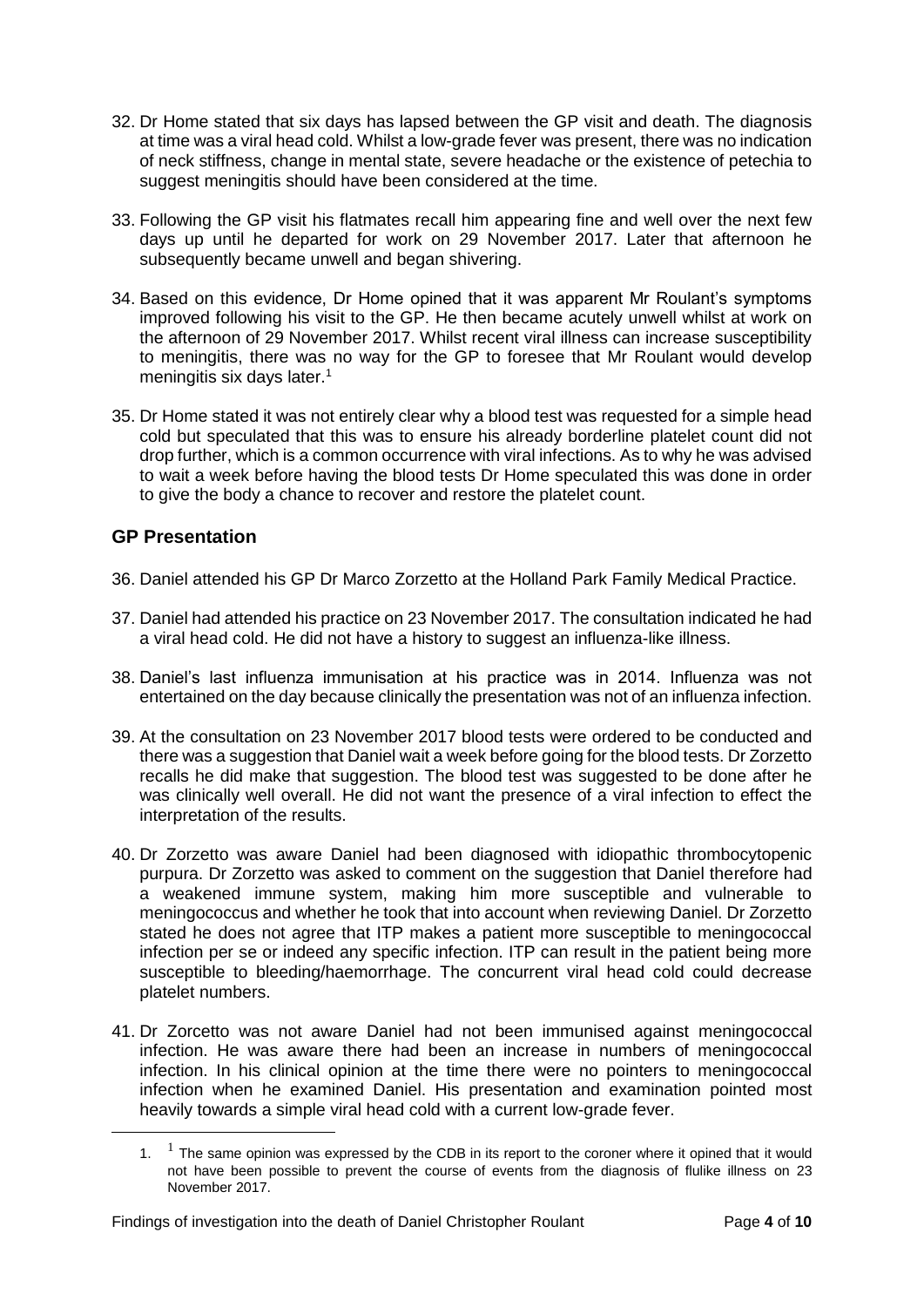- 32. Dr Home stated that six days has lapsed between the GP visit and death. The diagnosis at time was a viral head cold. Whilst a low-grade fever was present, there was no indication of neck stiffness, change in mental state, severe headache or the existence of petechia to suggest meningitis should have been considered at the time.
- 33. Following the GP visit his flatmates recall him appearing fine and well over the next few days up until he departed for work on 29 November 2017. Later that afternoon he subsequently became unwell and began shivering.
- 34. Based on this evidence, Dr Home opined that it was apparent Mr Roulant's symptoms improved following his visit to the GP. He then became acutely unwell whilst at work on the afternoon of 29 November 2017. Whilst recent viral illness can increase susceptibility to meningitis, there was no way for the GP to foresee that Mr Roulant would develop meningitis six days later.<sup>1</sup>
- 35. Dr Home stated it was not entirely clear why a blood test was requested for a simple head cold but speculated that this was to ensure his already borderline platelet count did not drop further, which is a common occurrence with viral infections. As to why he was advised to wait a week before having the blood tests Dr Home speculated this was done in order to give the body a chance to recover and restore the platelet count.

# <span id="page-5-0"></span>**GP Presentation**

<u>.</u>

- 36. Daniel attended his GP Dr Marco Zorzetto at the Holland Park Family Medical Practice.
- 37. Daniel had attended his practice on 23 November 2017. The consultation indicated he had a viral head cold. He did not have a history to suggest an influenza-like illness.
- 38. Daniel's last influenza immunisation at his practice was in 2014. Influenza was not entertained on the day because clinically the presentation was not of an influenza infection.
- 39. At the consultation on 23 November 2017 blood tests were ordered to be conducted and there was a suggestion that Daniel wait a week before going for the blood tests. Dr Zorzetto recalls he did make that suggestion. The blood test was suggested to be done after he was clinically well overall. He did not want the presence of a viral infection to effect the interpretation of the results.
- 40. Dr Zorzetto was aware Daniel had been diagnosed with idiopathic thrombocytopenic purpura. Dr Zorzetto was asked to comment on the suggestion that Daniel therefore had a weakened immune system, making him more susceptible and vulnerable to meningococcus and whether he took that into account when reviewing Daniel. Dr Zorzetto stated he does not agree that ITP makes a patient more susceptible to meningococcal infection per se or indeed any specific infection. ITP can result in the patient being more susceptible to bleeding/haemorrhage. The concurrent viral head cold could decrease platelet numbers.
- 41. Dr Zorcetto was not aware Daniel had not been immunised against meningococcal infection. He was aware there had been an increase in numbers of meningococcal infection. In his clinical opinion at the time there were no pointers to meningococcal infection when he examined Daniel. His presentation and examination pointed most heavily towards a simple viral head cold with a current low-grade fever.

<sup>1.</sup>  $1$  The same opinion was expressed by the CDB in its report to the coroner where it opined that it would not have been possible to prevent the course of events from the diagnosis of flulike illness on 23 November 2017.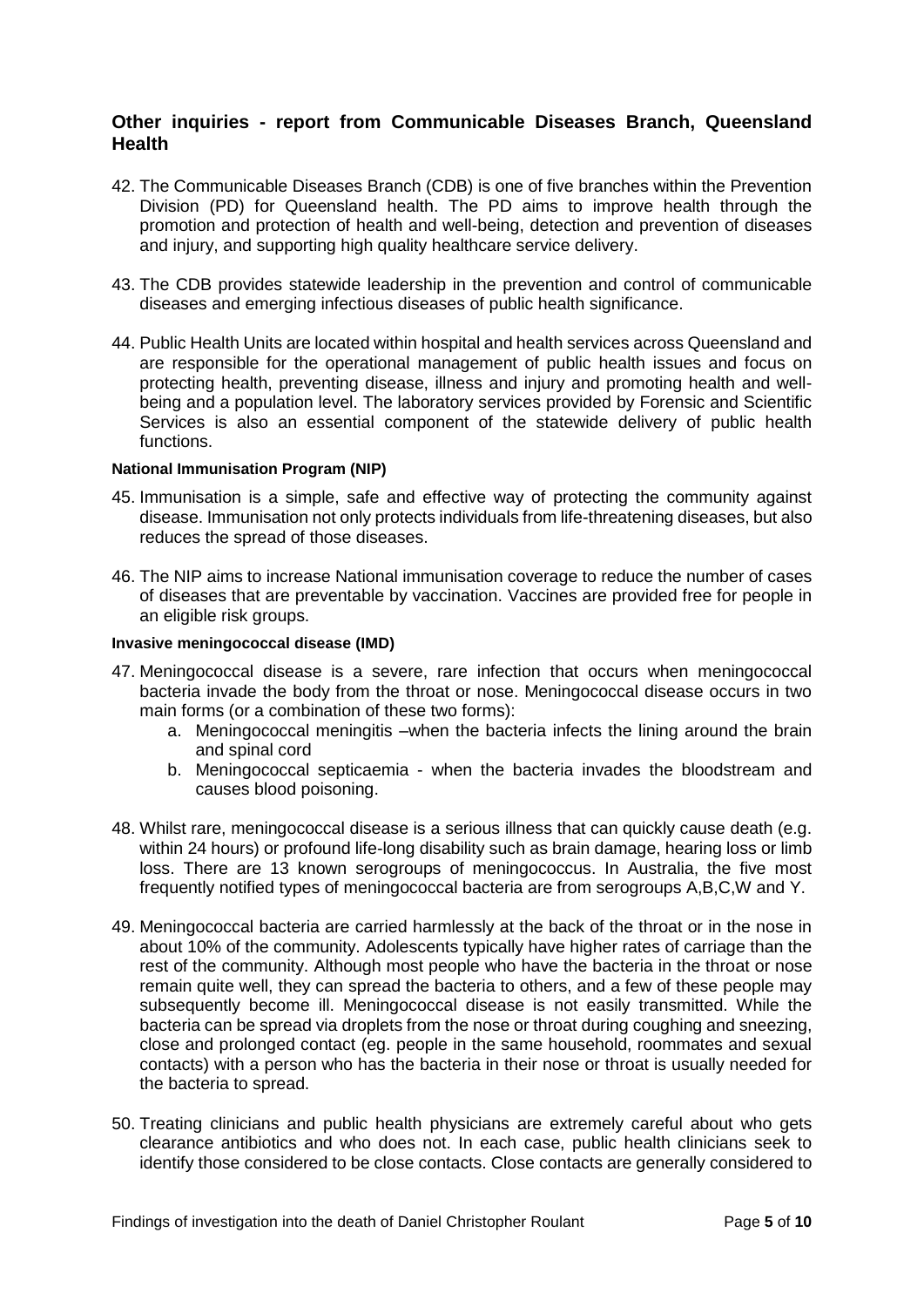#### <span id="page-6-0"></span>**Other inquiries - report from Communicable Diseases Branch, Queensland Health**

- 42. The Communicable Diseases Branch (CDB) is one of five branches within the Prevention Division (PD) for Queensland health. The PD aims to improve health through the promotion and protection of health and well-being, detection and prevention of diseases and injury, and supporting high quality healthcare service delivery.
- 43. The CDB provides statewide leadership in the prevention and control of communicable diseases and emerging infectious diseases of public health significance.
- 44. Public Health Units are located within hospital and health services across Queensland and are responsible for the operational management of public health issues and focus on protecting health, preventing disease, illness and injury and promoting health and wellbeing and a population level. The laboratory services provided by Forensic and Scientific Services is also an essential component of the statewide delivery of public health functions.

#### <span id="page-6-1"></span>**National Immunisation Program (NIP)**

- 45. Immunisation is a simple, safe and effective way of protecting the community against disease. Immunisation not only protects individuals from life-threatening diseases, but also reduces the spread of those diseases.
- 46. The NIP aims to increase National immunisation coverage to reduce the number of cases of diseases that are preventable by vaccination. Vaccines are provided free for people in an eligible risk groups.

#### <span id="page-6-2"></span>**Invasive meningococcal disease (IMD)**

- 47. Meningococcal disease is a severe, rare infection that occurs when meningococcal bacteria invade the body from the throat or nose. Meningococcal disease occurs in two main forms (or a combination of these two forms):
	- a. Meningococcal meningitis –when the bacteria infects the lining around the brain and spinal cord
	- b. Meningococcal septicaemia when the bacteria invades the bloodstream and causes blood poisoning.
- 48. Whilst rare, meningococcal disease is a serious illness that can quickly cause death (e.g. within 24 hours) or profound life-long disability such as brain damage, hearing loss or limb loss. There are 13 known serogroups of meningococcus. In Australia, the five most frequently notified types of meningococcal bacteria are from serogroups A,B,C,W and Y.
- 49. Meningococcal bacteria are carried harmlessly at the back of the throat or in the nose in about 10% of the community. Adolescents typically have higher rates of carriage than the rest of the community. Although most people who have the bacteria in the throat or nose remain quite well, they can spread the bacteria to others, and a few of these people may subsequently become ill. Meningococcal disease is not easily transmitted. While the bacteria can be spread via droplets from the nose or throat during coughing and sneezing, close and prolonged contact (eg. people in the same household, roommates and sexual contacts) with a person who has the bacteria in their nose or throat is usually needed for the bacteria to spread.
- 50. Treating clinicians and public health physicians are extremely careful about who gets clearance antibiotics and who does not. In each case, public health clinicians seek to identify those considered to be close contacts. Close contacts are generally considered to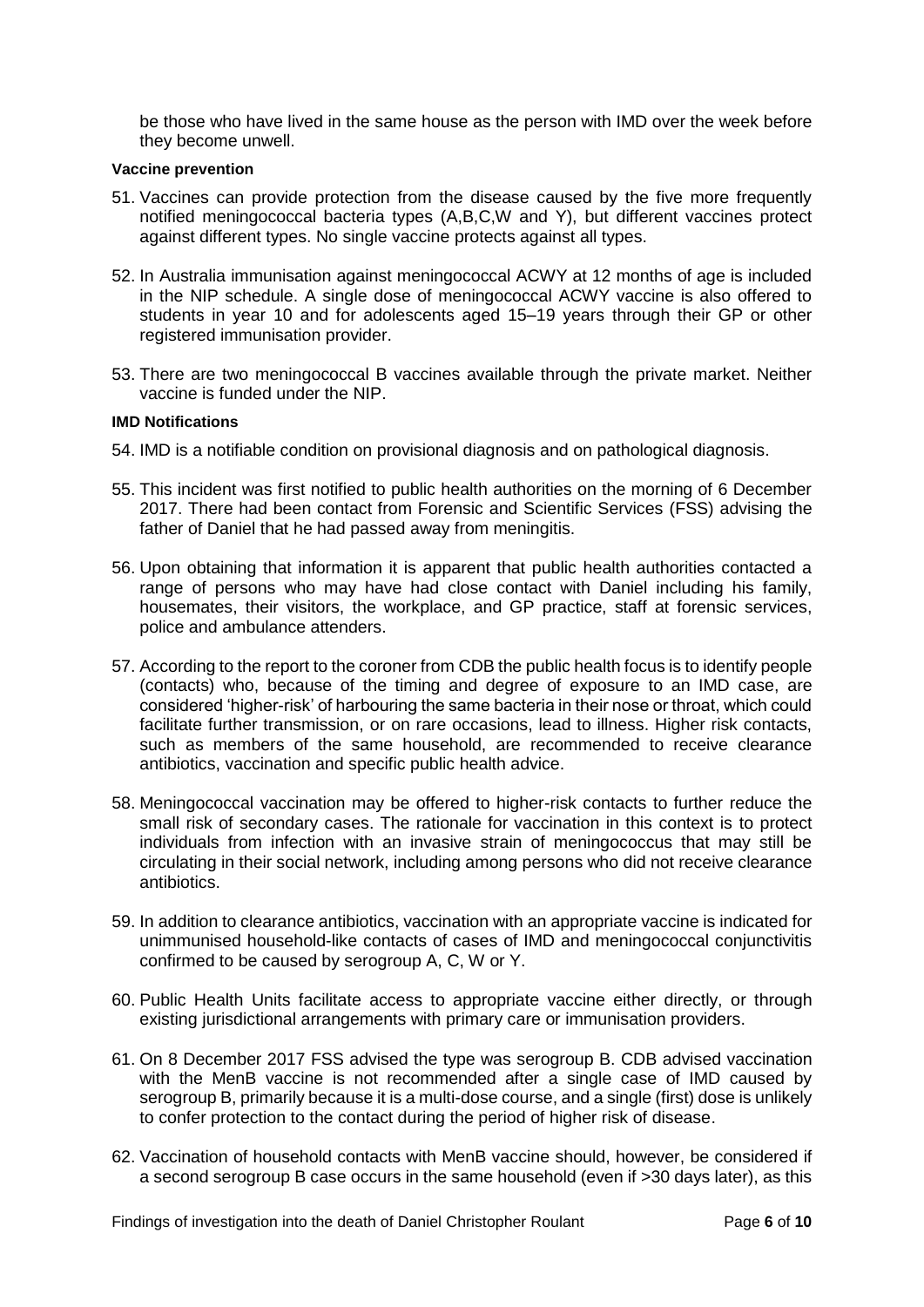be those who have lived in the same house as the person with IMD over the week before they become unwell.

#### <span id="page-7-0"></span>**Vaccine prevention**

- 51. Vaccines can provide protection from the disease caused by the five more frequently notified meningococcal bacteria types (A,B,C,W and Y), but different vaccines protect against different types. No single vaccine protects against all types.
- 52. In Australia immunisation against meningococcal ACWY at 12 months of age is included in the NIP schedule. A single dose of meningococcal ACWY vaccine is also offered to students in year 10 and for adolescents aged 15–19 years through their GP or other registered immunisation provider.
- 53. There are two meningococcal B vaccines available through the private market. Neither vaccine is funded under the NIP.

#### <span id="page-7-1"></span>**IMD Notifications**

- 54. IMD is a notifiable condition on provisional diagnosis and on pathological diagnosis.
- 55. This incident was first notified to public health authorities on the morning of 6 December 2017. There had been contact from Forensic and Scientific Services (FSS) advising the father of Daniel that he had passed away from meningitis.
- 56. Upon obtaining that information it is apparent that public health authorities contacted a range of persons who may have had close contact with Daniel including his family, housemates, their visitors, the workplace, and GP practice, staff at forensic services, police and ambulance attenders.
- 57. According to the report to the coroner from CDB the public health focus is to identify people (contacts) who, because of the timing and degree of exposure to an IMD case, are considered 'higher-risk' of harbouring the same bacteria in their nose or throat, which could facilitate further transmission, or on rare occasions, lead to illness. Higher risk contacts, such as members of the same household, are recommended to receive clearance antibiotics, vaccination and specific public health advice.
- 58. Meningococcal vaccination may be offered to higher-risk contacts to further reduce the small risk of secondary cases. The rationale for vaccination in this context is to protect individuals from infection with an invasive strain of meningococcus that may still be circulating in their social network, including among persons who did not receive clearance antibiotics.
- 59. In addition to clearance antibiotics, vaccination with an appropriate vaccine is indicated for unimmunised household-like contacts of cases of IMD and meningococcal conjunctivitis confirmed to be caused by serogroup A, C, W or Y.
- 60. Public Health Units facilitate access to appropriate vaccine either directly, or through existing jurisdictional arrangements with primary care or immunisation providers.
- 61. On 8 December 2017 FSS advised the type was serogroup B. CDB advised vaccination with the MenB vaccine is not recommended after a single case of IMD caused by serogroup B, primarily because it is a multi-dose course, and a single (first) dose is unlikely to confer protection to the contact during the period of higher risk of disease.
- 62. Vaccination of household contacts with MenB vaccine should, however, be considered if a second serogroup B case occurs in the same household (even if >30 days later), as this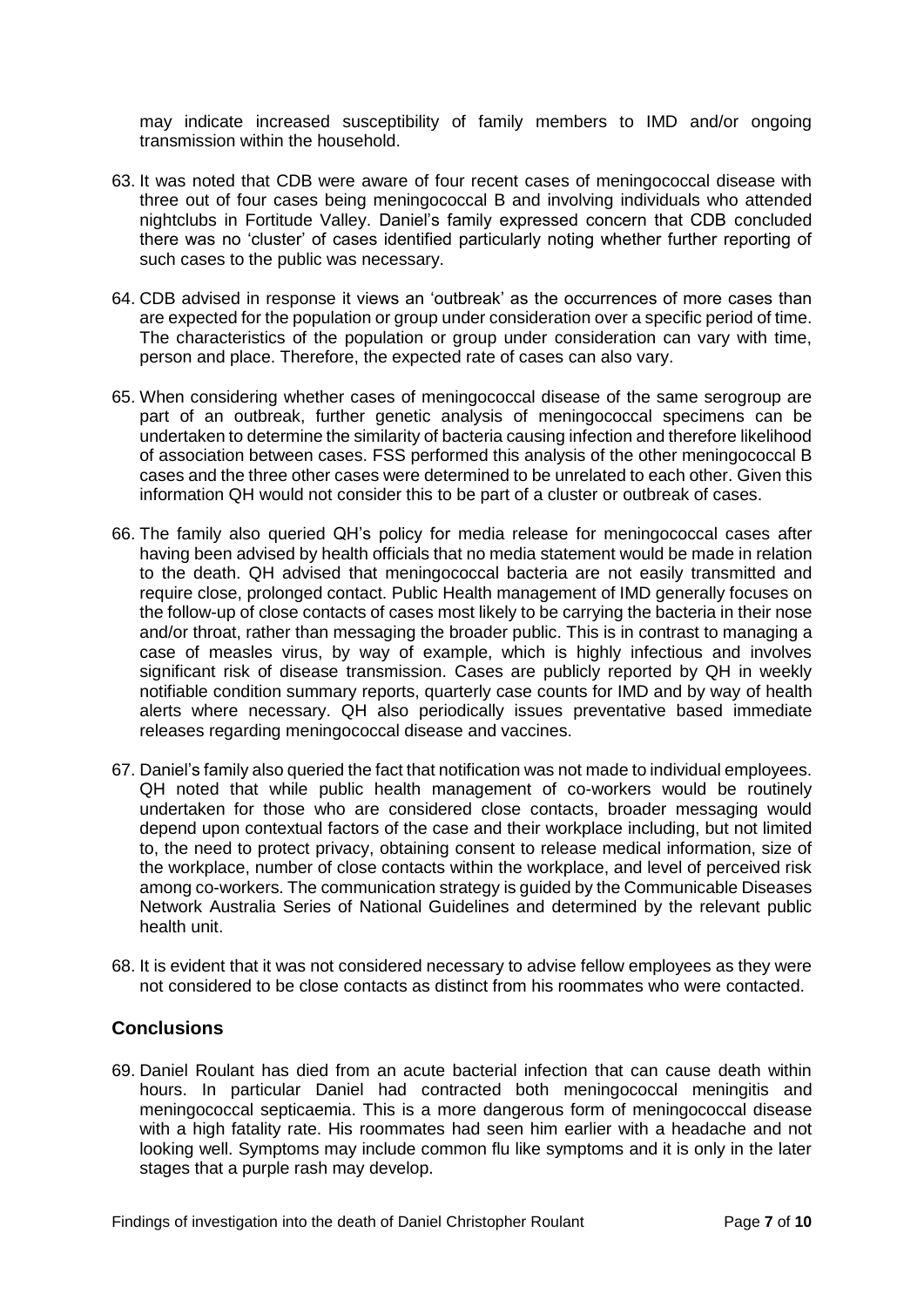may indicate increased susceptibility of family members to IMD and/or ongoing transmission within the household.

- 63. It was noted that CDB were aware of four recent cases of meningococcal disease with three out of four cases being meningococcal B and involving individuals who attended nightclubs in Fortitude Valley. Daniel's family expressed concern that CDB concluded there was no 'cluster' of cases identified particularly noting whether further reporting of such cases to the public was necessary.
- 64. CDB advised in response it views an 'outbreak' as the occurrences of more cases than are expected for the population or group under consideration over a specific period of time. The characteristics of the population or group under consideration can vary with time, person and place. Therefore, the expected rate of cases can also vary.
- 65. When considering whether cases of meningococcal disease of the same serogroup are part of an outbreak, further genetic analysis of meningococcal specimens can be undertaken to determine the similarity of bacteria causing infection and therefore likelihood of association between cases. FSS performed this analysis of the other meningococcal B cases and the three other cases were determined to be unrelated to each other. Given this information QH would not consider this to be part of a cluster or outbreak of cases.
- 66. The family also queried QH's policy for media release for meningococcal cases after having been advised by health officials that no media statement would be made in relation to the death. QH advised that meningococcal bacteria are not easily transmitted and require close, prolonged contact. Public Health management of IMD generally focuses on the follow-up of close contacts of cases most likely to be carrying the bacteria in their nose and/or throat, rather than messaging the broader public. This is in contrast to managing a case of measles virus, by way of example, which is highly infectious and involves significant risk of disease transmission. Cases are publicly reported by QH in weekly notifiable condition summary reports, quarterly case counts for IMD and by way of health alerts where necessary. QH also periodically issues preventative based immediate releases regarding meningococcal disease and vaccines.
- 67. Daniel's family also queried the fact that notification was not made to individual employees. QH noted that while public health management of co-workers would be routinely undertaken for those who are considered close contacts, broader messaging would depend upon contextual factors of the case and their workplace including, but not limited to, the need to protect privacy, obtaining consent to release medical information, size of the workplace, number of close contacts within the workplace, and level of perceived risk among co-workers. The communication strategy is guided by the Communicable Diseases Network Australia Series of National Guidelines and determined by the relevant public health unit.
- 68. It is evident that it was not considered necessary to advise fellow employees as they were not considered to be close contacts as distinct from his roommates who were contacted.

#### <span id="page-8-0"></span>**Conclusions**

69. Daniel Roulant has died from an acute bacterial infection that can cause death within hours. In particular Daniel had contracted both meningococcal meningitis and meningococcal septicaemia. This is a more dangerous form of meningococcal disease with a high fatality rate. His roommates had seen him earlier with a headache and not looking well. Symptoms may include common flu like symptoms and it is only in the later stages that a purple rash may develop.